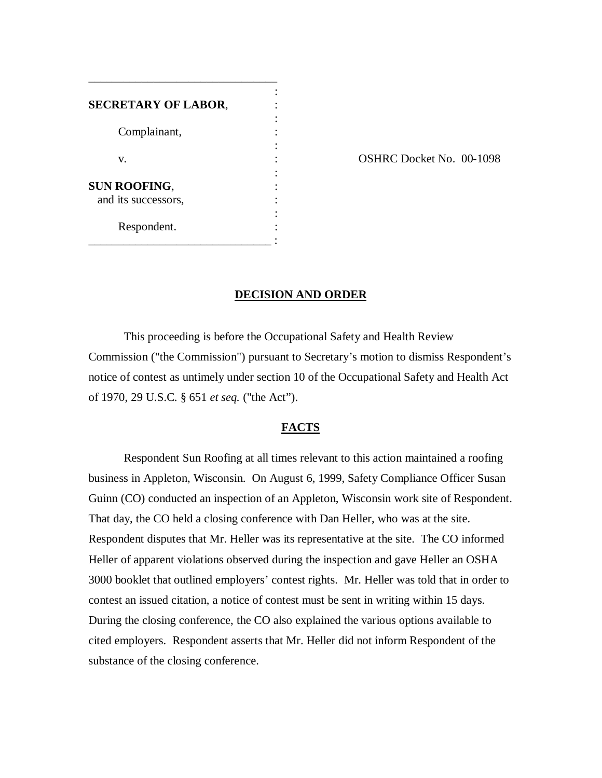| <b>SECRETARY OF LABOR,</b>                 |  |
|--------------------------------------------|--|
| Complainant,                               |  |
| v.                                         |  |
| <b>SUN ROOFING,</b><br>and its successors, |  |
| Respondent.                                |  |
|                                            |  |

\_\_\_\_\_\_\_\_\_\_\_\_\_\_\_\_\_\_\_\_\_\_\_\_\_\_\_\_\_\_\_\_

OSHRC Docket No. 00-1098

# **DECISION AND ORDER**

This proceeding is before the Occupational Safety and Health Review Commission ("the Commission") pursuant to Secretary's motion to dismiss Respondent's notice of contest as untimely under section 10 of the Occupational Safety and Health Act of 1970, 29 U.S.C. § 651 *et seq.* ("the Act").

#### **FACTS**

Respondent Sun Roofing at all times relevant to this action maintained a roofing business in Appleton, Wisconsin. On August 6, 1999, Safety Compliance Officer Susan Guinn (CO) conducted an inspection of an Appleton, Wisconsin work site of Respondent. That day, the CO held a closing conference with Dan Heller, who was at the site. Respondent disputes that Mr. Heller was its representative at the site. The CO informed Heller of apparent violations observed during the inspection and gave Heller an OSHA 3000 booklet that outlined employers' contest rights. Mr. Heller was told that in order to contest an issued citation, a notice of contest must be sent in writing within 15 days. During the closing conference, the CO also explained the various options available to cited employers. Respondent asserts that Mr. Heller did not inform Respondent of the substance of the closing conference.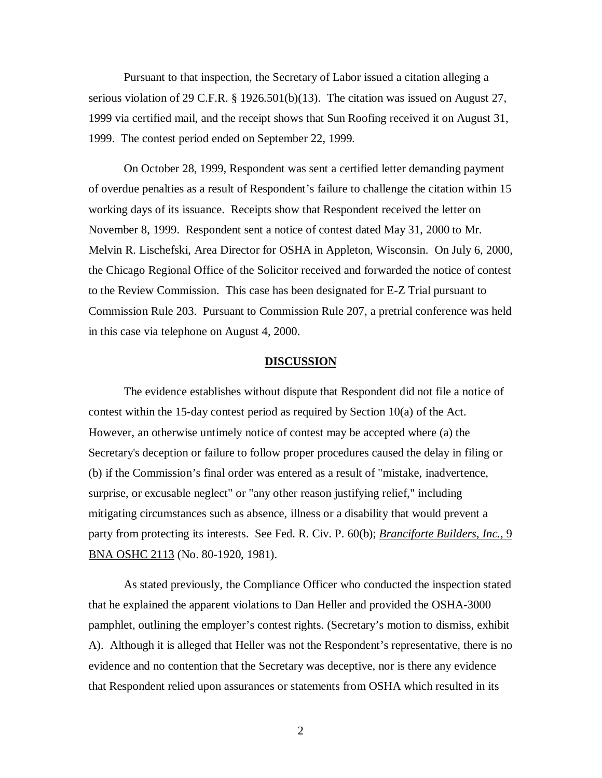Pursuant to that inspection, the Secretary of Labor issued a citation alleging a serious violation of 29 C.F.R. § 1926.501(b)(13). The citation was issued on August 27, 1999 via certified mail, and the receipt shows that Sun Roofing received it on August 31, 1999. The contest period ended on September 22, 1999.

On October 28, 1999, Respondent was sent a certified letter demanding payment of overdue penalties as a result of Respondent's failure to challenge the citation within 15 working days of its issuance. Receipts show that Respondent received the letter on November 8, 1999. Respondent sent a notice of contest dated May 31, 2000 to Mr. Melvin R. Lischefski, Area Director for OSHA in Appleton, Wisconsin. On July 6, 2000, the Chicago Regional Office of the Solicitor received and forwarded the notice of contest to the Review Commission. This case has been designated for E-Z Trial pursuant to Commission Rule 203. Pursuant to Commission Rule 207, a pretrial conference was held in this case via telephone on August 4, 2000.

### **DISCUSSION**

The evidence establishes without dispute that Respondent did not file a notice of contest within the 15-day contest period as required by Section 10(a) of the Act. However, an otherwise untimely notice of contest may be accepted where (a) the Secretary's deception or failure to follow proper procedures caused the delay in filing or (b) if the Commission's final order was entered as a result of "mistake, inadvertence, surprise, or excusable neglect" or "any other reason justifying relief," including mitigating circumstances such as absence, illness or a disability that would prevent a party from protecting its interests. See Fed. R. Civ. P. 60(b); *Branciforte Builders, Inc.,* 9 BNA OSHC 2113 (No. 80-1920, 1981).

As stated previously, the Compliance Officer who conducted the inspection stated that he explained the apparent violations to Dan Heller and provided the OSHA-3000 pamphlet, outlining the employer's contest rights. (Secretary's motion to dismiss, exhibit A). Although it is alleged that Heller was not the Respondent's representative, there is no evidence and no contention that the Secretary was deceptive, nor is there any evidence that Respondent relied upon assurances or statements from OSHA which resulted in its

2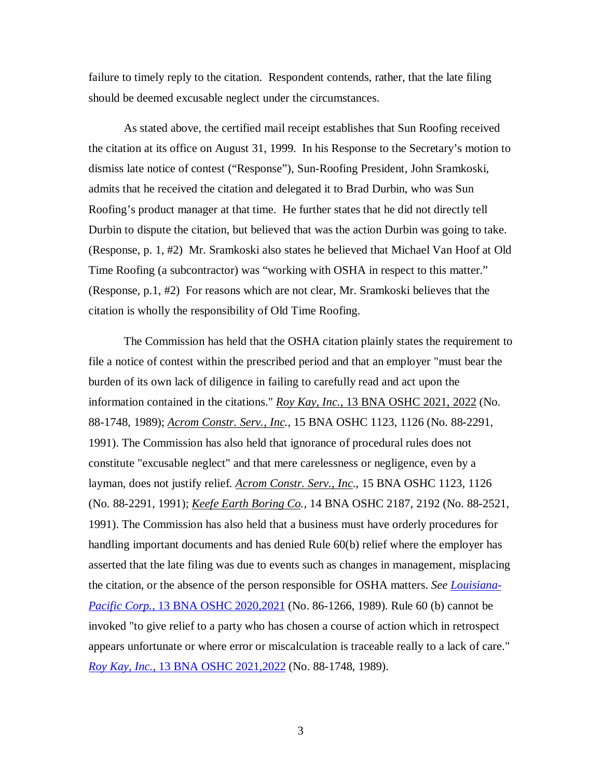failure to timely reply to the citation. Respondent contends, rather, that the late filing should be deemed excusable neglect under the circumstances.

As stated above, the certified mail receipt establishes that Sun Roofing received the citation at its office on August 31, 1999. In his Response to the Secretary's motion to dismiss late notice of contest ("Response"), Sun-Roofing President, John Sramkoski, admits that he received the citation and delegated it to Brad Durbin, who was Sun Roofing's product manager at that time. He further states that he did not directly tell Durbin to dispute the citation, but believed that was the action Durbin was going to take. (Response, p. 1, #2) Mr. Sramkoski also states he believed that Michael Van Hoof at Old Time Roofing (a subcontractor) was "working with OSHA in respect to this matter." (Response, p.1, #2) For reasons which are not clear, Mr. Sramkoski believes that the citation is wholly the responsibility of Old Time Roofing.

The Commission has held that the OSHA citation plainly states the requirement to file a notice of contest within the prescribed period and that an employer "must bear the burden of its own lack of diligence in failing to carefully read and act upon the information contained in the citations." *Roy Kay, Inc.,* 13 BNA OSHC 2021, 2022 (No. 88-1748, 1989); *Acrom Constr. Serv., Inc.,* 15 BNA OSHC 1123, 1126 (No. 88-2291, 1991). The Commission has also held that ignorance of procedural rules does not constitute "excusable neglect" and that mere carelessness or negligence, even by a layman, does not justify relief. *Acrom Constr. Serv., Inc.,* 15 BNA OSHC 1123, 1126 (No. 88-2291, 1991); *Keefe Earth Boring Co.,* 14 BNA OSHC 2187, 2192 (No. 88-2521, 1991). The Commission has also held that a business must have orderly procedures for handling important documents and has denied Rule 60(b) relief where the employer has asserted that the late filing was due to events such as changes in management, misplacing the citation, or the absence of the person responsible for OSHA matters. *See Louisiana-Pacific Corp.*, 13 BNA OSHC 2020, 2021 (No. 86-1266, 1989). Rule 60 (b) cannot be invoked "to give relief to a party who has chosen a course of action which in retrospect appears unfortunate or where error or miscalculation is traceable really to a lack of care." *Roy Kay, Inc.*, 13 BNA OSHC 2021,2022 (No. 88-1748, 1989).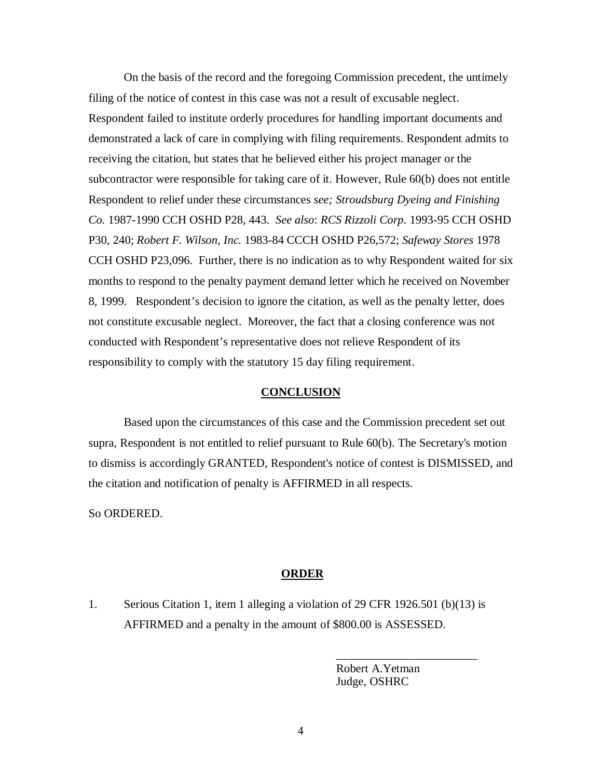On the basis of the record and the foregoing Commission precedent, the untimely filing of the notice of contest in this case was not a result of excusable neglect. Respondent failed to institute orderly procedures for handling important documents and demonstrated a lack of care in complying with filing requirements. Respondent admits to receiving the citation, but states that he believed either his project manager or the subcontractor were responsible for taking care of it. However, Rule 60(b) does not entitle Respondent to relief under these circumstances *see; Stroudsburg Dyeing and Finishing Co.* 1987-1990 CCH OSHD P28, 443. *See also*: *RCS Rizzoli Corp.* 1993-95 CCH OSHD P30, 240; *Robert F. Wilson, Inc.* 1983-84 CCCH OSHD P26,572; *Safeway Stores* 1978 CCH OSHD P23,096. Further, there is no indication as to why Respondent waited for six months to respond to the penalty payment demand letter which he received on November 8, 1999. Respondent's decision to ignore the citation, as well as the penalty letter, does not constitute excusable neglect. Moreover, the fact that a closing conference was not conducted with Respondent's representative does not relieve Respondent of its responsibility to comply with the statutory 15 day filing requirement.

# **CONCLUSION**

Based upon the circumstances of this case and the Commission precedent set out supra, Respondent is not entitled to relief pursuant to Rule 60(b). The Secretary's motion to dismiss is accordingly GRANTED, Respondent's notice of contest is DISMISSED, and the citation and notification of penalty is AFFIRMED in all respects.

So ORDERED.

# **ORDER**

1. Serious Citation 1, item 1 alleging a violation of 29 CFR 1926.501 (b)(13) is AFFIRMED and a penalty in the amount of \$800.00 is ASSESSED.

> Robert A.Yetman Judge, OSHRC

\_\_\_\_\_\_\_\_\_\_\_\_\_\_\_\_\_\_\_\_\_\_\_\_